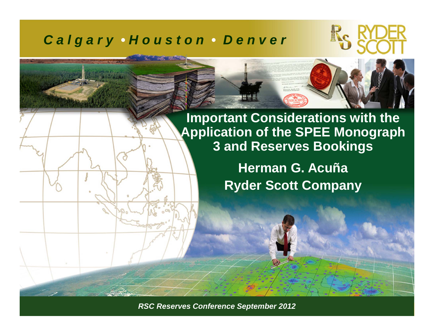#### *C a l g a r y • H o u s t o n • D e n v e r*



**Herman G. AcuñaRyder Scott Company**

*RSC Reserves Conference September 2011 ©Ryder Scott Company, L.P. RSC Reserves Conference September 2012*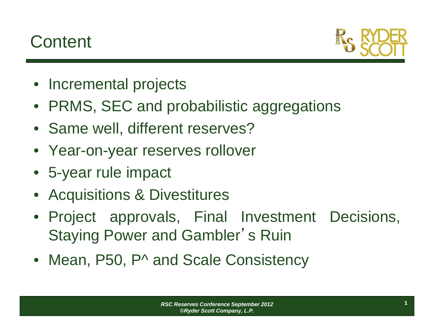## **Content**



- Incremental projects
- PRMS, SEC and probabilistic aggregations
- Same well, different reserves?
- Year-on-year reserves rollover
- 5-year rule impact
- $\bullet$ Acquisitions & Divestitures
- Project approvals, Final Investment Decisions, Staying Power and Gambler'<sup>s</sup> Ruin
- Mean, P50, P^ and Scale Consistency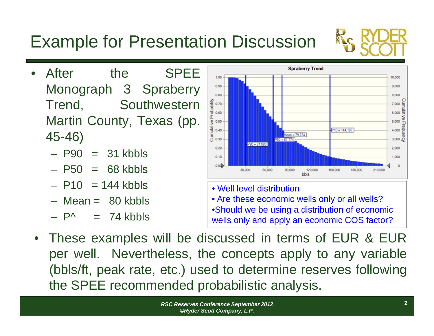#### Trend, Southwestern Martin County, Texas (pp.

45-46)

•

– P90  $=$  31 kbbls

After the SPEE

Monograph 3 Spraberry

- P<sub>50</sub>  $= 68$  kbbls
- P10 <sup>=</sup> 144 kbbls
- Mean <sup>=</sup> 80 kbbls
- P^  $= 74$  kbbls
- Well level distribution• Are these economic wells only or all wells? •Should we be using a distribution of economic wells only and apply an economic COS factor?
- • These examples will be discussed in terms of EUR & EUR per well. Nevertheless, the concepts apply to any variable (bbls/ft, peak rate, etc.) used to determine reserves following the SPEE recommended probabilistic analysis.

# Example for Presentation Discussion



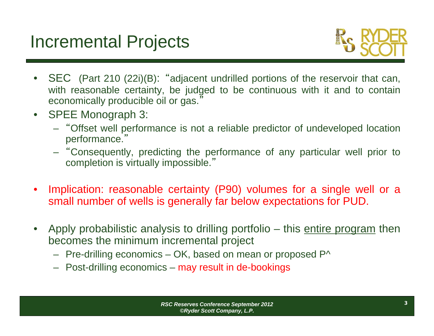

- • SEC (Part 210 (22i)(B): "adjacent undrilled portions of the reservoir that can, with reasonable certainty, be judged to be continuous with it and to contain economically producible oil or gas. "
- $\bullet$  SPEE Monograph 3:
	- "Offset well performance is not <sup>a</sup> reliable predictor of undeveloped location performance. "
	- "Consequently, predicting the performance of any particular well prior to completion is virtually impossible. "
- • Implication: reasonable certainty (P90) volumes for <sup>a</sup> single well or <sup>a</sup> small number of wells is generally far below expectations for PUD.
- $\bullet$ Apply probabilistic analysis to drilling portfolio – this entire program then becomes the minimum incremental project
	- $-$  Pre-drilling economics OK, based on mean or proposed P^  $\,$
	- Post-drilling economics may result in de-bookings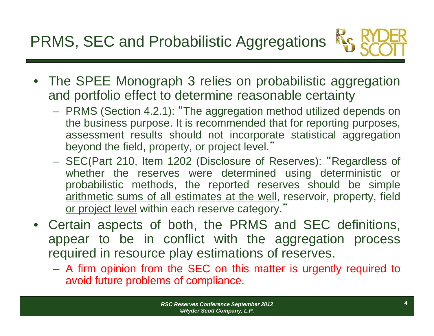PRMS, SEC and Probabilistic Aggregations



- The SPEE Monograph 3 relies on probabilistic aggregation and portfolio effect to determine reasonable certainty
	- PRMS (Section 4.2.1): "The aggregation method utilized depends on the business purpose. It is recommended that for reporting purposes, assessment results should not incorporate statistical aggregation beyond the field, property, or project level. "
	- SEC(Part 210, Item 1202 (Disclosure of Reserves): "Regardless of whether the reserves were determined using deterministic or probabilistic methods, the reported reserves should be simple arithmetic sums of all estimates at the well, reservoir, property, field or project level within each reserve category."
- $\bullet$  Certain aspects of both, the PRMS and SEC definitions, appear to be in conflict with the aggregation process required in resource play estimations of reserves.
	- A firm opinion from the SEC on this matter is urgently required to avoid future problems of compliance.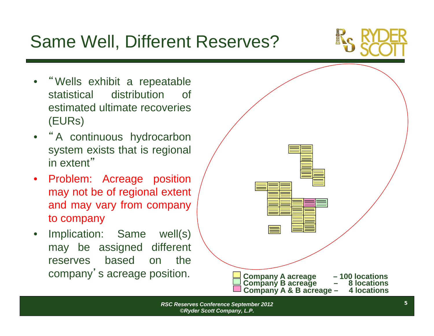## Same Well, Different Reserves?



- •"Wells exhibit <sup>a</sup> repeatable statistical distribution of estimated ultimate recoveries(EURs)
- "<sup>A</sup> continuous hydrocarbon system exists that is regional in extent "
- $\bullet$  Problem: Acreage position may not be of regional extent and may vary from company to company
- • Implication: Same well(s) may be assigned different reserves based on the

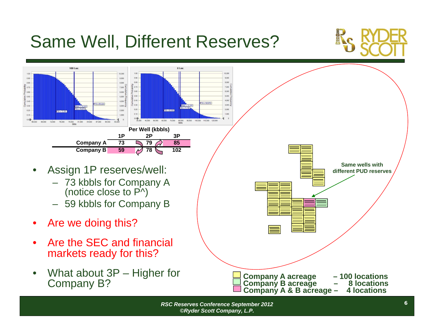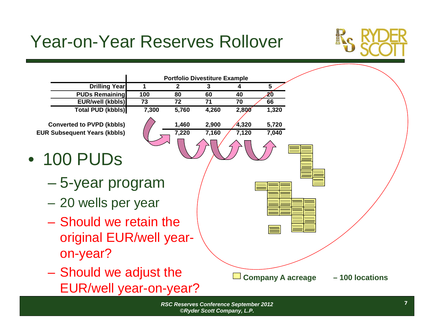## Year-on-Year Reserves Rollover



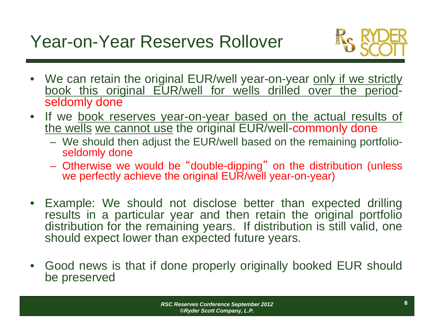## Year-on-Year Reserves Rollover



- We can retain the original EUR/well year-on-year <u>only if we strictly</u> book this original EUR/well for wells drilled over the periodseldomly done
- $\bullet$ If we book reserves year-on-year based on the actual results of the wells we cannot use the original EUR/well-commonly done
	- We should then adjust the EUR/well based on the remaining portfolioseldomly done
	- Otherwise we would be "double-dipping " on the distribution (unless we perfectly achieve the original EUR/well year-on-year)
- • Example: We should not disclose better than expected drilling results in a particular year and then retain the original portfolio distribution for the remaining years. If distribution is still valid, one should expect lower than expected future years.
- $\bullet$  Good news is that if done properly originally booked EUR should be preserved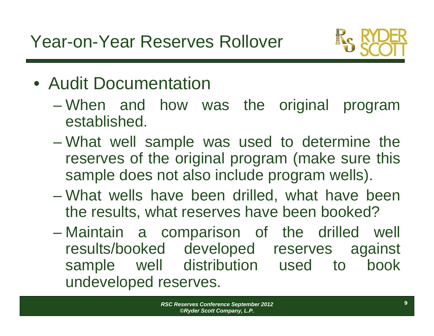

- Audit Documentation
	- When and how was the original program established.
	- What well sample was used to determine the reserves of the original program (make sure this sample does not also include program wells).
	- What wells have been drilled, what have been the results, what reserves have been booked?
	- Maintain <sup>a</sup> comparison of the drilled well results/booked developed reserves against sample well distribution used to book undeveloped reserves.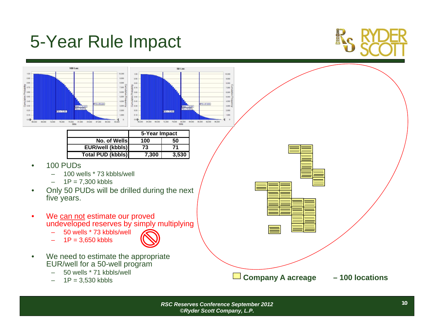#### 5-Year Rule Impact





–

*RSC Reserves Conference September 2012 ©Ryder Scott Company, L.P.*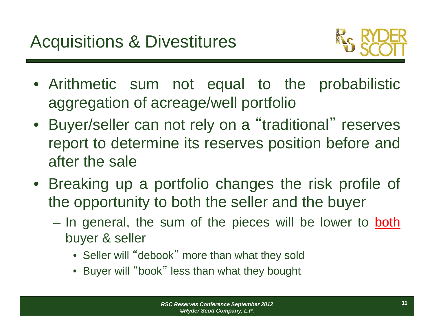

- Arithmetic sum not equal to the probabilistic aggregation of acreage/well portfolio
- Buyer/seller can not rely on <sup>a</sup> "traditional " reserves report to determine its reserves position before and after the sale
- Breaking up <sup>a</sup> portfolio changes the risk profile of the opportunity to both the seller and the buyer
	- In general, the sum of the pieces will be lower to both buyer & seller
		- Seller will "debook " more than what they sold
		- Buyer will "book " less than what they bought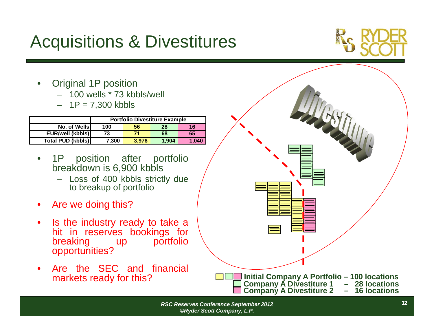## Acquisitions & Divestitures



- • Original 1P position
	- 100 wells \* 73 kbbls/well
	- 1P <sup>=</sup> 7,300 kbbls

|                          | <b>Portfolio Divestiture Example</b> |       |       |       |
|--------------------------|--------------------------------------|-------|-------|-------|
| No. of Wells             | 100                                  | 56    | 28    | 16    |
| <b>EUR/well (kbbls)</b>  | 73                                   |       | 68    | 65    |
| <b>Total PUD (kbbls)</b> | 7.300                                | 3.976 | 1.904 | 1,040 |

- $\bullet$  1P position after portfolio breakdown is 6,900 kbbls
	- Loss of 400 kbbls strictly due to breakup of portfolio
- $\bullet$ Are we doing this?
- $\bullet$  Is the industry ready to take <sup>a</sup> hit in reserves bookings for breaking up portfolio opportunities?
- •Are the SEC and financial

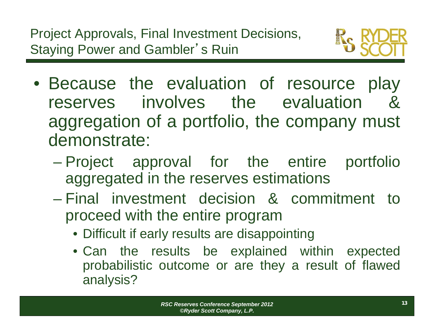

- Because the evaluation of resource play reserves involves the evaluation &aggregation of <sup>a</sup> portfolio, the company must demonstrate:
	- Project approval for the entire portfolio aggregated in the reserves estimations
	- Final investment decision & commitment to proceed with the entire program
		- Difficult if early results are disappointing
		- Can the results be explained within expected probabilistic outcome or are they <sup>a</sup> result of flawed analysis?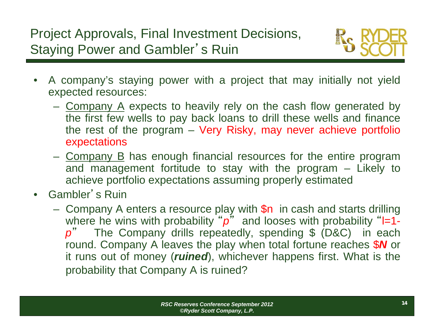

- $\bullet$  A company's staying power with <sup>a</sup> project that may initially not yield expected resources:
	- Company A expects to heavily rely on the cash flow generated by the first few wells to pay back loans to drill these wells and finance the rest of the program – Very Risky, may never achieve portfolio expectations
	- Company B has enough financial resources for the entire program and management fortitude to stay with the program – Likely to achieve portfolio expectations assuming properly estimated
- • Gambler'<sup>s</sup> Ruin
	- Company A enters a resource play with  $\$n$  in cash and starts drilling where he wins with probability ""p" and looses with probability "l=1*p* " The Company drills repeatedly, spending \$ (D&C) in each round. Company A leaves the play when total fortune reaches \$ *N* or it runs out of money (*ruined*), whichever happens first. What is the probability that Company A is ruined?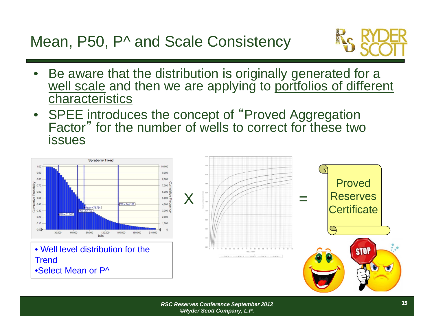Mean, P50, P^ and Scale Consistency



- • Be aware that the distribution is originally generated for a well scale and then we are applying to portfolios of different characteristics
- $\bullet$  SPEE introduces the concept of "Proved Aggregation Factor " for the number of wells to correct for these two issues

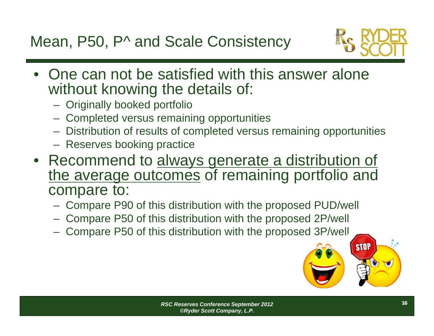

- • One can not be satisfied with this answer alone without knowing the details of:
	- Originally booked portfolio
	- Completed versus remaining opportunities
	- Distribution of results of completed versus remaining opportunities
	- Reserves booking practice
- Recommend to always generate a distribution of the average outcomes of remaining portfolio and compare to:
	- Compare P90 of this distribution with the proposed PUD/well
	- Compare P50 of this distribution with the proposed 2P/well
	- Compare P50 of this distribution with the proposed 3P/well



**STOP**